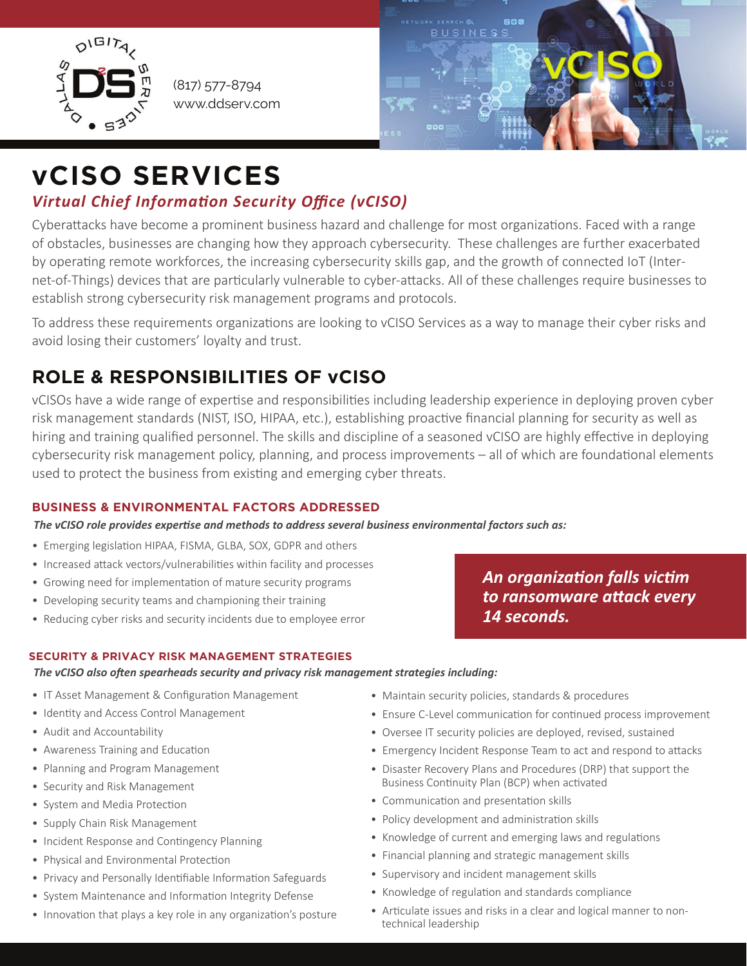

(817) 577-8794 www.ddserv.com



# **vCISO SERVICES**

### *Virtual Chief Information Security Office (vCISO)*

Cyberattacks have become a prominent business hazard and challenge for most organizations. Faced with a range of obstacles, businesses are changing how they approach cybersecurity. These challenges are further exacerbated by operating remote workforces, the increasing cybersecurity skills gap, and the growth of connected IoT (Internet-of-Things) devices that are particularly vulnerable to cyber-attacks. All of these challenges require businesses to establish strong cybersecurity risk management programs and protocols.

To address these requirements organizations are looking to vCISO Services as a way to manage their cyber risks and avoid losing their customers' loyalty and trust.

## **ROLE & RESPONSIBILITIES OF vCISO**

vCISOs have a wide range of exper�se and responsibili�es including leadership experience in deploying proven cyber risk management standards (NIST, ISO, HIPAA, etc.), establishing proactive financial planning for security as well as hiring and training qualified personnel. The skills and discipline of a seasoned vCISO are highly effective in deploying cybersecurity risk management policy, planning, and process improvements – all of which are foundational elements used to protect the business from existing and emerging cyber threats.

#### **BUSINESS & ENVIRONMENTAL FACTORS ADDRESSED**

*The vCISO role provides expertise and methods to address several business environmental factors such as:*

- Emerging legislation HIPAA, FISMA, GLBA, SOX, GDPR and others
- Increased attack vectors/vulnerabilities within facility and processes
- Growing need for implementation of mature security programs
- Developing security teams and championing their training
- Reducing cyber risks and security incidents due to employee error

#### **SECURITY & PRIVACY RISK MANAGEMENT STRATEGIES**

*The vCISO also often spearheads security and privacy risk management strategies including:*

- IT Asset Management & Configuration Management
- Identity and Access Control Management
- Audit and Accountability
- Awareness Training and Education
- Planning and Program Management
- Security and Risk Management
- System and Media Protection
- Supply Chain Risk Management
- Incident Response and Contingency Planning
- Physical and Environmental Protection
- Privacy and Personally Identifiable Information Safeguards
- System Maintenance and Information Integrity Defense
- Innovation that plays a key role in any organization's posture
- Maintain security policies, standards & procedures
- Ensure C-Level communication for continued process improvement
- Oversee IT security policies are deployed, revised, sustained
- Emergency Incident Response Team to act and respond to attacks
- Disaster Recovery Plans and Procedures (DRP) that support the Business Continuity Plan (BCP) when activated
- Communication and presentation skills
- Policy development and administration skills
- Knowledge of current and emerging laws and regulations
- Financial planning and strategic management skills
- Supervisory and incident management skills
- Knowledge of regulation and standards compliance
- Articulate issues and risks in a clear and logical manner to nontechnical leadership

*An organization falls victim to ransomware attack every 14 seconds.*